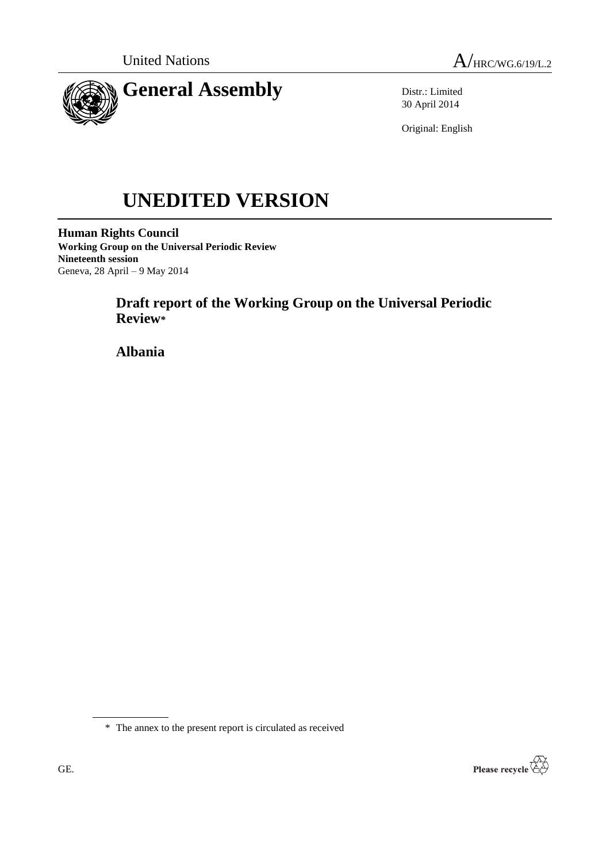



Distr.: Limited 30 April 2014

Original: English

# **UNEDITED VERSION**

**Human Rights Council Working Group on the Universal Periodic Review Nineteenth session** Geneva, 28 April – 9 May 2014

# **Draft report of the Working Group on the Universal Periodic Review\***

**Albania**

\* The annex to the present report is circulated as received

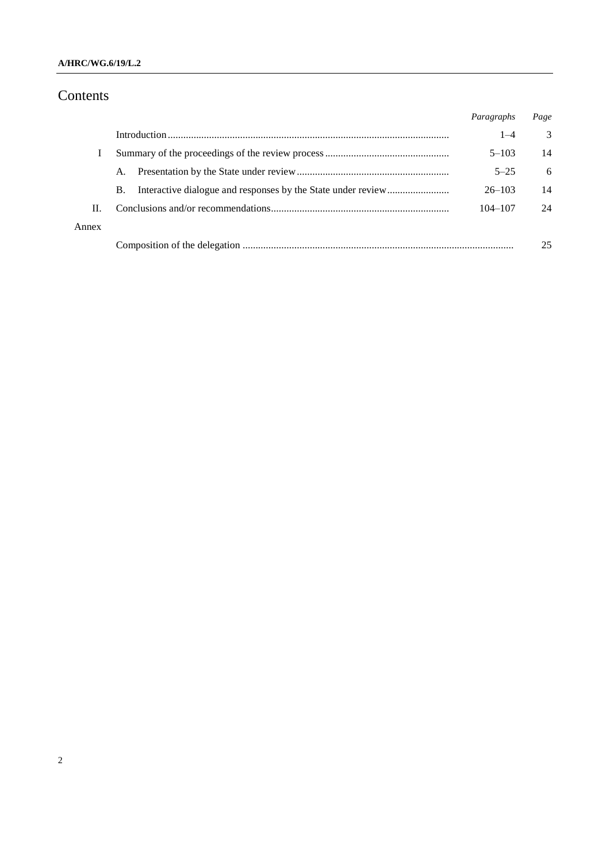## **A/HRC/WG.6/19/L.2**

# Contents

|       |           | Paragraphs  | Page |
|-------|-----------|-------------|------|
|       |           | $1 - 4$     | 3    |
|       |           | $5 - 103$   | 14   |
|       | A.        | $5 - 25$    | 6    |
|       | <b>B.</b> | $26 - 103$  | 14   |
| Н.    |           | $104 - 107$ | 24   |
| Annex |           |             |      |
|       |           |             | 25   |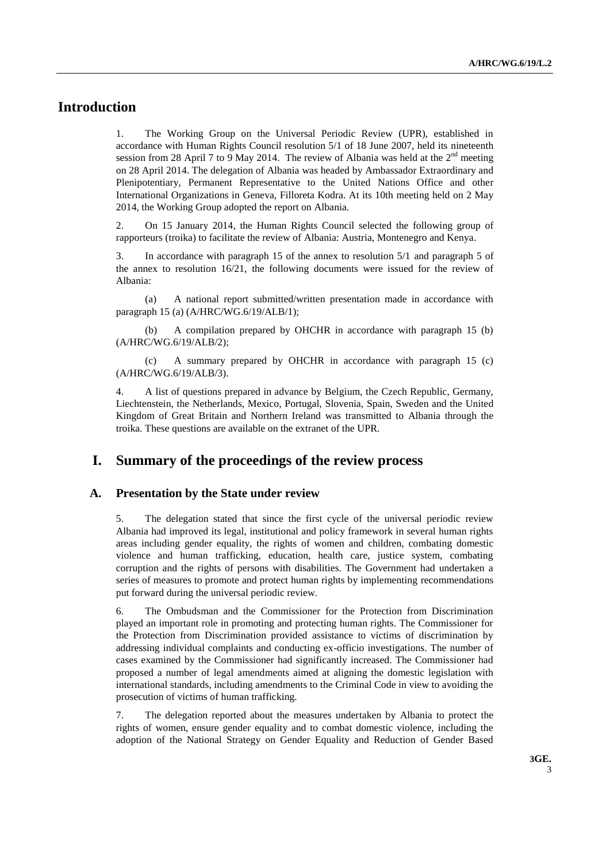## **Introduction**

1. The Working Group on the Universal Periodic Review (UPR), established in accordance with Human Rights Council resolution 5/1 of 18 June 2007, held its nineteenth session from 28 April 7 to 9 May 2014. The review of Albania was held at the  $2<sup>nd</sup>$  meeting on 28 April 2014. The delegation of Albania was headed by Ambassador Extraordinary and Plenipotentiary, Permanent Representative to the United Nations Office and other International Organizations in Geneva, Filloreta Kodra. At its 10th meeting held on 2 May 2014, the Working Group adopted the report on Albania.

2. On 15 January 2014, the Human Rights Council selected the following group of rapporteurs (troika) to facilitate the review of Albania: Austria, Montenegro and Kenya.

3. In accordance with paragraph 15 of the annex to resolution 5/1 and paragraph 5 of the annex to resolution 16/21, the following documents were issued for the review of Albania:

(a) A national report submitted/written presentation made in accordance with paragraph 15 (a) (A/HRC/WG.6/19/ALB/1);

(b) A compilation prepared by OHCHR in accordance with paragraph 15 (b) (A/HRC/WG.6/19/ALB/2);

(c) A summary prepared by OHCHR in accordance with paragraph 15 (c) (A/HRC/WG.6/19/ALB/3).

4. A list of questions prepared in advance by Belgium, the Czech Republic, Germany, Liechtenstein, the Netherlands, Mexico, Portugal, Slovenia, Spain, Sweden and the United Kingdom of Great Britain and Northern Ireland was transmitted to Albania through the troika. These questions are available on the extranet of the UPR.

## **I. Summary of the proceedings of the review process**

#### **A. Presentation by the State under review**

5. The delegation stated that since the first cycle of the universal periodic review Albania had improved its legal, institutional and policy framework in several human rights areas including gender equality, the rights of women and children, combating domestic violence and human trafficking, education, health care, justice system, combating corruption and the rights of persons with disabilities. The Government had undertaken a series of measures to promote and protect human rights by implementing recommendations put forward during the universal periodic review.

6. The Ombudsman and the Commissioner for the Protection from Discrimination played an important role in promoting and protecting human rights. The Commissioner for the Protection from Discrimination provided assistance to victims of discrimination by addressing individual complaints and conducting ex-officio investigations. The number of cases examined by the Commissioner had significantly increased. The Commissioner had proposed a number of legal amendments aimed at aligning the domestic legislation with international standards, including amendments to the Criminal Code in view to avoiding the prosecution of victims of human trafficking.

7. The delegation reported about the measures undertaken by Albania to protect the rights of women, ensure gender equality and to combat domestic violence, including the adoption of the National Strategy on Gender Equality and Reduction of Gender Based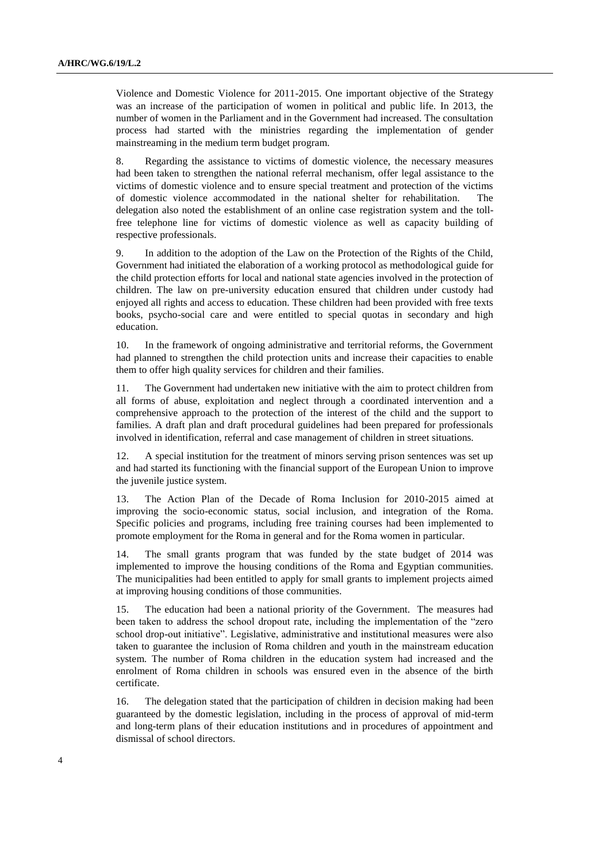Violence and Domestic Violence for 2011-2015. One important objective of the Strategy was an increase of the participation of women in political and public life. In 2013, the number of women in the Parliament and in the Government had increased. The consultation process had started with the ministries regarding the implementation of gender mainstreaming in the medium term budget program.

8. Regarding the assistance to victims of domestic violence, the necessary measures had been taken to strengthen the national referral mechanism, offer legal assistance to the victims of domestic violence and to ensure special treatment and protection of the victims of domestic violence accommodated in the national shelter for rehabilitation. delegation also noted the establishment of an online case registration system and the tollfree telephone line for victims of domestic violence as well as capacity building of respective professionals.

9. In addition to the adoption of the Law on the Protection of the Rights of the Child, Government had initiated the elaboration of a working protocol as methodological guide for the child protection efforts for local and national state agencies involved in the protection of children. The law on pre-university education ensured that children under custody had enjoyed all rights and access to education. These children had been provided with free texts books, psycho-social care and were entitled to special quotas in secondary and high education.

10. In the framework of ongoing administrative and territorial reforms, the Government had planned to strengthen the child protection units and increase their capacities to enable them to offer high quality services for children and their families.

11. The Government had undertaken new initiative with the aim to protect children from all forms of abuse, exploitation and neglect through a coordinated intervention and a comprehensive approach to the protection of the interest of the child and the support to families. A draft plan and draft procedural guidelines had been prepared for professionals involved in identification, referral and case management of children in street situations.

12. A special institution for the treatment of minors serving prison sentences was set up and had started its functioning with the financial support of the European Union to improve the juvenile justice system.

13. The Action Plan of the Decade of Roma Inclusion for 2010-2015 aimed at improving the socio-economic status, social inclusion, and integration of the Roma. Specific policies and programs, including free training courses had been implemented to promote employment for the Roma in general and for the Roma women in particular.

14. The small grants program that was funded by the state budget of 2014 was implemented to improve the housing conditions of the Roma and Egyptian communities. The municipalities had been entitled to apply for small grants to implement projects aimed at improving housing conditions of those communities.

15. The education had been a national priority of the Government. The measures had been taken to address the school dropout rate, including the implementation of the "zero school drop-out initiative". Legislative, administrative and institutional measures were also taken to guarantee the inclusion of Roma children and youth in the mainstream education system. The number of Roma children in the education system had increased and the enrolment of Roma children in schools was ensured even in the absence of the birth certificate.

16. The delegation stated that the participation of children in decision making had been guaranteed by the domestic legislation, including in the process of approval of mid-term and long-term plans of their education institutions and in procedures of appointment and dismissal of school directors.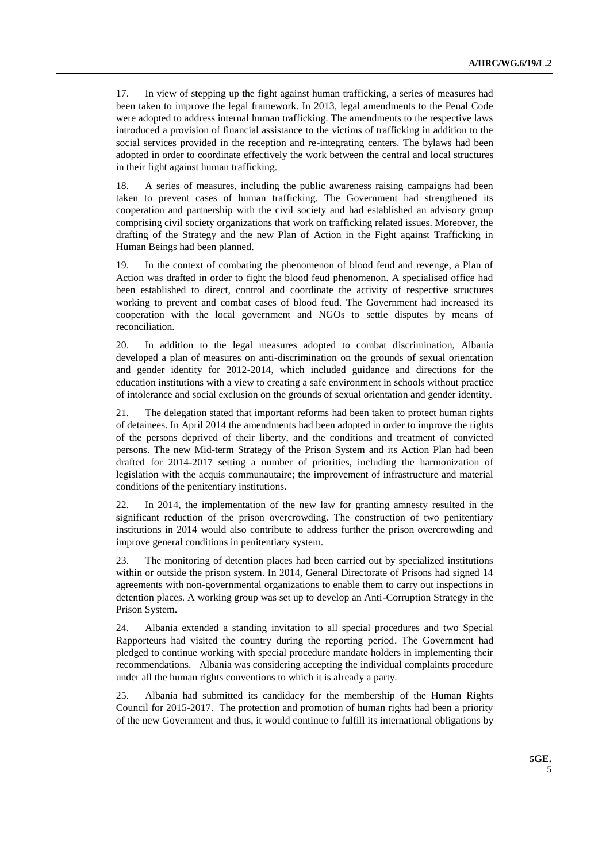17. In view of stepping up the fight against human trafficking, a series of measures had been taken to improve the legal framework. In 2013, legal amendments to the Penal Code were adopted to address internal human trafficking. The amendments to the respective laws introduced a provision of financial assistance to the victims of trafficking in addition to the social services provided in the reception and re-integrating centers. The bylaws had been adopted in order to coordinate effectively the work between the central and local structures in their fight against human trafficking.

18. A series of measures, including the public awareness raising campaigns had been taken to prevent cases of human trafficking. The Government had strengthened its cooperation and partnership with the civil society and had established an advisory group comprising civil society organizations that work on trafficking related issues. Moreover, the drafting of the Strategy and the new Plan of Action in the Fight against Trafficking in Human Beings had been planned.

19. In the context of combating the phenomenon of blood feud and revenge, a Plan of Action was drafted in order to fight the blood feud phenomenon. A specialised office had been established to direct, control and coordinate the activity of respective structures working to prevent and combat cases of blood feud. The Government had increased its cooperation with the local government and NGOs to settle disputes by means of reconciliation.

20. In addition to the legal measures adopted to combat discrimination, Albania developed a plan of measures on anti-discrimination on the grounds of sexual orientation and gender identity for 2012-2014, which included guidance and directions for the education institutions with a view to creating a safe environment in schools without practice of intolerance and social exclusion on the grounds of sexual orientation and gender identity.

21. The delegation stated that important reforms had been taken to protect human rights of detainees. In April 2014 the amendments had been adopted in order to improve the rights of the persons deprived of their liberty, and the conditions and treatment of convicted persons. The new Mid-term Strategy of the Prison System and its Action Plan had been drafted for 2014-2017 setting a number of priorities, including the harmonization of legislation with the acquis communautaire; the improvement of infrastructure and material conditions of the penitentiary institutions.

22. In 2014, the implementation of the new law for granting amnesty resulted in the significant reduction of the prison overcrowding. The construction of two penitentiary institutions in 2014 would also contribute to address further the prison overcrowding and improve general conditions in penitentiary system.

23. The monitoring of detention places had been carried out by specialized institutions within or outside the prison system. In 2014, General Directorate of Prisons had signed 14 agreements with non-governmental organizations to enable them to carry out inspections in detention places. A working group was set up to develop an Anti-Corruption Strategy in the Prison System.

24. Albania extended a standing invitation to all special procedures and two Special Rapporteurs had visited the country during the reporting period. The Government had pledged to continue working with special procedure mandate holders in implementing their recommendations. Albania was considering accepting the individual complaints procedure under all the human rights conventions to which it is already a party.

25. Albania had submitted its candidacy for the membership of the Human Rights Council for 2015-2017. The protection and promotion of human rights had been a priority of the new Government and thus, it would continue to fulfill its international obligations by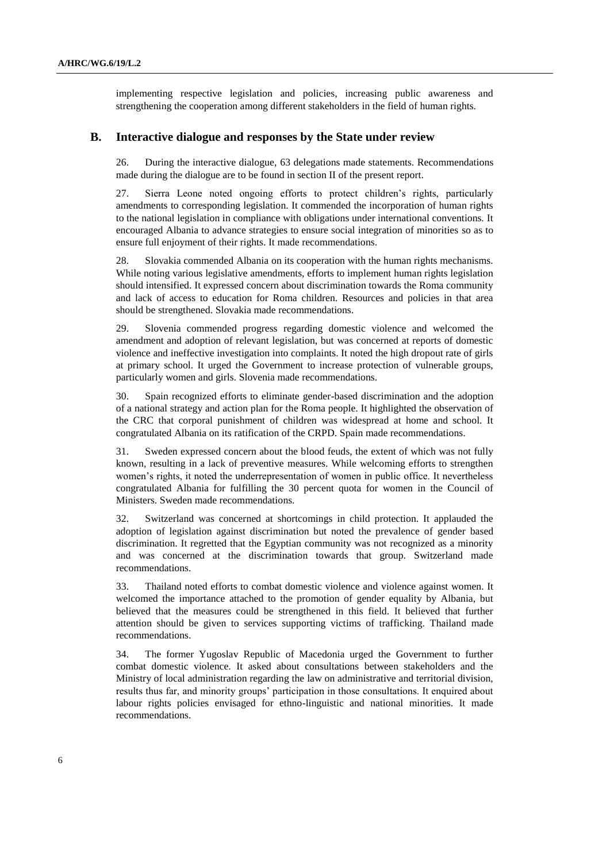implementing respective legislation and policies, increasing public awareness and strengthening the cooperation among different stakeholders in the field of human rights.

#### **B. Interactive dialogue and responses by the State under review**

26. During the interactive dialogue, 63 delegations made statements. Recommendations made during the dialogue are to be found in section II of the present report.

27. Sierra Leone noted ongoing efforts to protect children's rights, particularly amendments to corresponding legislation. It commended the incorporation of human rights to the national legislation in compliance with obligations under international conventions. It encouraged Albania to advance strategies to ensure social integration of minorities so as to ensure full enjoyment of their rights. It made recommendations.

28. Slovakia commended Albania on its cooperation with the human rights mechanisms. While noting various legislative amendments, efforts to implement human rights legislation should intensified. It expressed concern about discrimination towards the Roma community and lack of access to education for Roma children. Resources and policies in that area should be strengthened. Slovakia made recommendations.

29. Slovenia commended progress regarding domestic violence and welcomed the amendment and adoption of relevant legislation, but was concerned at reports of domestic violence and ineffective investigation into complaints. It noted the high dropout rate of girls at primary school. It urged the Government to increase protection of vulnerable groups, particularly women and girls. Slovenia made recommendations.

30. Spain recognized efforts to eliminate gender-based discrimination and the adoption of a national strategy and action plan for the Roma people. It highlighted the observation of the CRC that corporal punishment of children was widespread at home and school. It congratulated Albania on its ratification of the CRPD. Spain made recommendations.

31. Sweden expressed concern about the blood feuds, the extent of which was not fully known, resulting in a lack of preventive measures. While welcoming efforts to strengthen women's rights, it noted the underrepresentation of women in public office. It nevertheless congratulated Albania for fulfilling the 30 percent quota for women in the Council of Ministers. Sweden made recommendations.

32. Switzerland was concerned at shortcomings in child protection. It applauded the adoption of legislation against discrimination but noted the prevalence of gender based discrimination. It regretted that the Egyptian community was not recognized as a minority and was concerned at the discrimination towards that group. Switzerland made recommendations.

33. Thailand noted efforts to combat domestic violence and violence against women. It welcomed the importance attached to the promotion of gender equality by Albania, but believed that the measures could be strengthened in this field. It believed that further attention should be given to services supporting victims of trafficking. Thailand made recommendations.

34. The former Yugoslav Republic of Macedonia urged the Government to further combat domestic violence. It asked about consultations between stakeholders and the Ministry of local administration regarding the law on administrative and territorial division, results thus far, and minority groups' participation in those consultations. It enquired about labour rights policies envisaged for ethno-linguistic and national minorities. It made recommendations.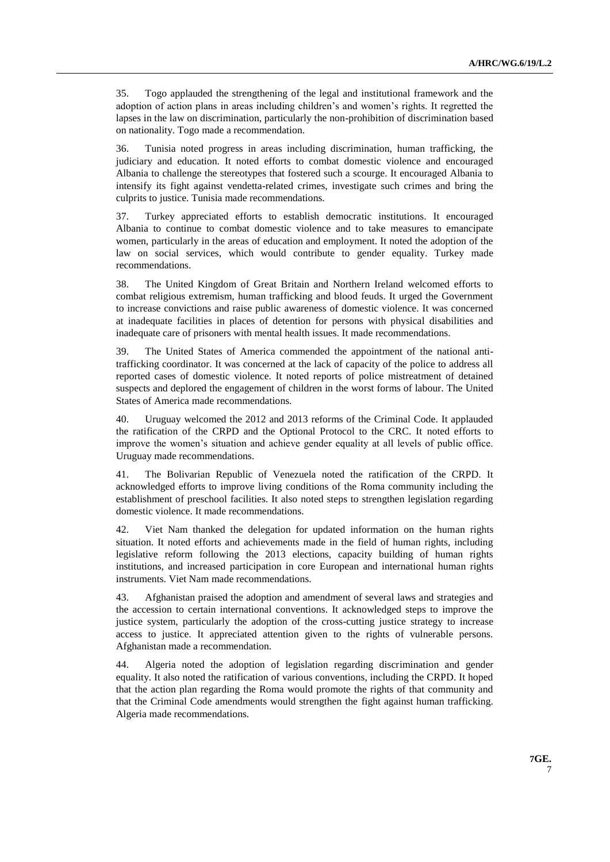35. Togo applauded the strengthening of the legal and institutional framework and the adoption of action plans in areas including children's and women's rights. It regretted the lapses in the law on discrimination, particularly the non-prohibition of discrimination based on nationality. Togo made a recommendation.

36. Tunisia noted progress in areas including discrimination, human trafficking, the judiciary and education. It noted efforts to combat domestic violence and encouraged Albania to challenge the stereotypes that fostered such a scourge. It encouraged Albania to intensify its fight against vendetta-related crimes, investigate such crimes and bring the culprits to justice. Tunisia made recommendations.

37. Turkey appreciated efforts to establish democratic institutions. It encouraged Albania to continue to combat domestic violence and to take measures to emancipate women, particularly in the areas of education and employment. It noted the adoption of the law on social services, which would contribute to gender equality. Turkey made recommendations.

38. The United Kingdom of Great Britain and Northern Ireland welcomed efforts to combat religious extremism, human trafficking and blood feuds. It urged the Government to increase convictions and raise public awareness of domestic violence. It was concerned at inadequate facilities in places of detention for persons with physical disabilities and inadequate care of prisoners with mental health issues. It made recommendations.

39. The United States of America commended the appointment of the national antitrafficking coordinator. It was concerned at the lack of capacity of the police to address all reported cases of domestic violence. It noted reports of police mistreatment of detained suspects and deplored the engagement of children in the worst forms of labour. The United States of America made recommendations.

40. Uruguay welcomed the 2012 and 2013 reforms of the Criminal Code. It applauded the ratification of the CRPD and the Optional Protocol to the CRC. It noted efforts to improve the women's situation and achieve gender equality at all levels of public office. Uruguay made recommendations.

41. The Bolivarian Republic of Venezuela noted the ratification of the CRPD. It acknowledged efforts to improve living conditions of the Roma community including the establishment of preschool facilities. It also noted steps to strengthen legislation regarding domestic violence. It made recommendations.

42. Viet Nam thanked the delegation for updated information on the human rights situation. It noted efforts and achievements made in the field of human rights, including legislative reform following the 2013 elections, capacity building of human rights institutions, and increased participation in core European and international human rights instruments. Viet Nam made recommendations.

43. Afghanistan praised the adoption and amendment of several laws and strategies and the accession to certain international conventions. It acknowledged steps to improve the justice system, particularly the adoption of the cross-cutting justice strategy to increase access to justice. It appreciated attention given to the rights of vulnerable persons. Afghanistan made a recommendation.

44. Algeria noted the adoption of legislation regarding discrimination and gender equality. It also noted the ratification of various conventions, including the CRPD. It hoped that the action plan regarding the Roma would promote the rights of that community and that the Criminal Code amendments would strengthen the fight against human trafficking. Algeria made recommendations.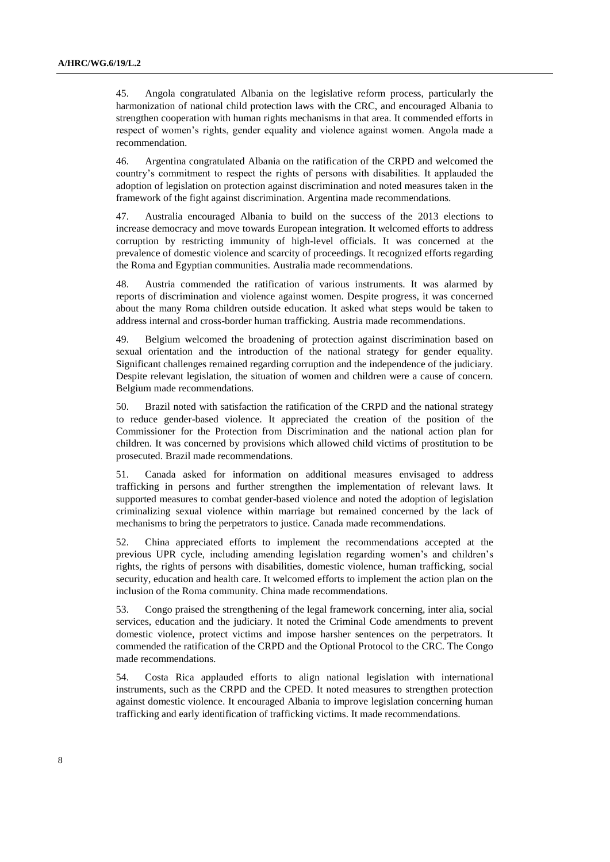45. Angola congratulated Albania on the legislative reform process, particularly the harmonization of national child protection laws with the CRC, and encouraged Albania to strengthen cooperation with human rights mechanisms in that area. It commended efforts in respect of women's rights, gender equality and violence against women. Angola made a recommendation.

46. Argentina congratulated Albania on the ratification of the CRPD and welcomed the country's commitment to respect the rights of persons with disabilities. It applauded the adoption of legislation on protection against discrimination and noted measures taken in the framework of the fight against discrimination. Argentina made recommendations.

47. Australia encouraged Albania to build on the success of the 2013 elections to increase democracy and move towards European integration. It welcomed efforts to address corruption by restricting immunity of high-level officials. It was concerned at the prevalence of domestic violence and scarcity of proceedings. It recognized efforts regarding the Roma and Egyptian communities. Australia made recommendations.

48. Austria commended the ratification of various instruments. It was alarmed by reports of discrimination and violence against women. Despite progress, it was concerned about the many Roma children outside education. It asked what steps would be taken to address internal and cross-border human trafficking. Austria made recommendations.

49. Belgium welcomed the broadening of protection against discrimination based on sexual orientation and the introduction of the national strategy for gender equality. Significant challenges remained regarding corruption and the independence of the judiciary. Despite relevant legislation, the situation of women and children were a cause of concern. Belgium made recommendations.

50. Brazil noted with satisfaction the ratification of the CRPD and the national strategy to reduce gender-based violence. It appreciated the creation of the position of the Commissioner for the Protection from Discrimination and the national action plan for children. It was concerned by provisions which allowed child victims of prostitution to be prosecuted. Brazil made recommendations.

51. Canada asked for information on additional measures envisaged to address trafficking in persons and further strengthen the implementation of relevant laws. It supported measures to combat gender-based violence and noted the adoption of legislation criminalizing sexual violence within marriage but remained concerned by the lack of mechanisms to bring the perpetrators to justice. Canada made recommendations.

52. China appreciated efforts to implement the recommendations accepted at the previous UPR cycle, including amending legislation regarding women's and children's rights, the rights of persons with disabilities, domestic violence, human trafficking, social security, education and health care. It welcomed efforts to implement the action plan on the inclusion of the Roma community. China made recommendations.

53. Congo praised the strengthening of the legal framework concerning, inter alia, social services, education and the judiciary. It noted the Criminal Code amendments to prevent domestic violence, protect victims and impose harsher sentences on the perpetrators. It commended the ratification of the CRPD and the Optional Protocol to the CRC. The Congo made recommendations.

54. Costa Rica applauded efforts to align national legislation with international instruments, such as the CRPD and the CPED. It noted measures to strengthen protection against domestic violence. It encouraged Albania to improve legislation concerning human trafficking and early identification of trafficking victims. It made recommendations.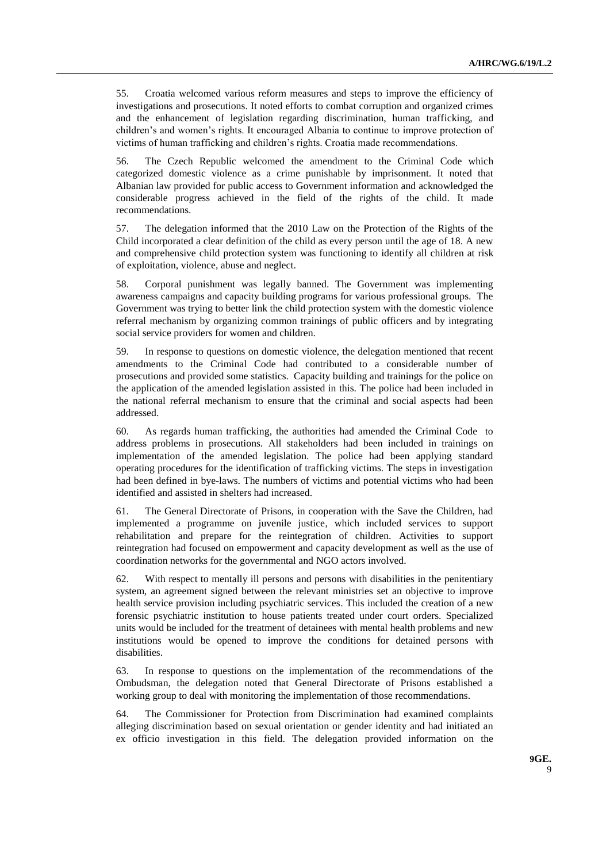55. Croatia welcomed various reform measures and steps to improve the efficiency of investigations and prosecutions. It noted efforts to combat corruption and organized crimes and the enhancement of legislation regarding discrimination, human trafficking, and children's and women's rights. It encouraged Albania to continue to improve protection of victims of human trafficking and children's rights. Croatia made recommendations.

56. The Czech Republic welcomed the amendment to the Criminal Code which categorized domestic violence as a crime punishable by imprisonment. It noted that Albanian law provided for public access to Government information and acknowledged the considerable progress achieved in the field of the rights of the child. It made recommendations.

57. The delegation informed that the 2010 Law on the Protection of the Rights of the Child incorporated a clear definition of the child as every person until the age of 18. A new and comprehensive child protection system was functioning to identify all children at risk of exploitation, violence, abuse and neglect.

58. Corporal punishment was legally banned. The Government was implementing awareness campaigns and capacity building programs for various professional groups. The Government was trying to better link the child protection system with the domestic violence referral mechanism by organizing common trainings of public officers and by integrating social service providers for women and children.

59. In response to questions on domestic violence, the delegation mentioned that recent amendments to the Criminal Code had contributed to a considerable number of prosecutions and provided some statistics. Capacity building and trainings for the police on the application of the amended legislation assisted in this. The police had been included in the national referral mechanism to ensure that the criminal and social aspects had been addressed.

60. As regards human trafficking, the authorities had amended the Criminal Code to address problems in prosecutions. All stakeholders had been included in trainings on implementation of the amended legislation. The police had been applying standard operating procedures for the identification of trafficking victims. The steps in investigation had been defined in bye-laws. The numbers of victims and potential victims who had been identified and assisted in shelters had increased.

61. The General Directorate of Prisons, in cooperation with the Save the Children, had implemented a programme on juvenile justice, which included services to support rehabilitation and prepare for the reintegration of children. Activities to support reintegration had focused on empowerment and capacity development as well as the use of coordination networks for the governmental and NGO actors involved.

62. With respect to mentally ill persons and persons with disabilities in the penitentiary system, an agreement signed between the relevant ministries set an objective to improve health service provision including psychiatric services. This included the creation of a new forensic psychiatric institution to house patients treated under court orders. Specialized units would be included for the treatment of detainees with mental health problems and new institutions would be opened to improve the conditions for detained persons with disabilities.

63. In response to questions on the implementation of the recommendations of the Ombudsman, the delegation noted that General Directorate of Prisons established a working group to deal with monitoring the implementation of those recommendations.

64. The Commissioner for Protection from Discrimination had examined complaints alleging discrimination based on sexual orientation or gender identity and had initiated an ex officio investigation in this field. The delegation provided information on the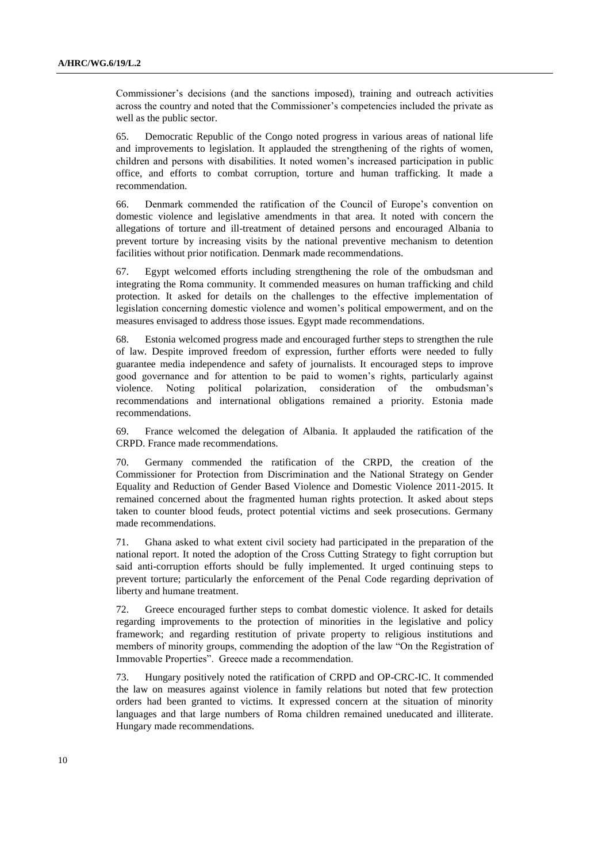Commissioner's decisions (and the sanctions imposed), training and outreach activities across the country and noted that the Commissioner's competencies included the private as well as the public sector.

65. Democratic Republic of the Congo noted progress in various areas of national life and improvements to legislation. It applauded the strengthening of the rights of women, children and persons with disabilities. It noted women's increased participation in public office, and efforts to combat corruption, torture and human trafficking. It made a recommendation.

66. Denmark commended the ratification of the Council of Europe's convention on domestic violence and legislative amendments in that area. It noted with concern the allegations of torture and ill-treatment of detained persons and encouraged Albania to prevent torture by increasing visits by the national preventive mechanism to detention facilities without prior notification. Denmark made recommendations.

67. Egypt welcomed efforts including strengthening the role of the ombudsman and integrating the Roma community. It commended measures on human trafficking and child protection. It asked for details on the challenges to the effective implementation of legislation concerning domestic violence and women's political empowerment, and on the measures envisaged to address those issues. Egypt made recommendations.

68. Estonia welcomed progress made and encouraged further steps to strengthen the rule of law. Despite improved freedom of expression, further efforts were needed to fully guarantee media independence and safety of journalists. It encouraged steps to improve good governance and for attention to be paid to women's rights, particularly against violence. Noting political polarization, consideration of the ombudsman's recommendations and international obligations remained a priority. Estonia made recommendations.

69. France welcomed the delegation of Albania. It applauded the ratification of the CRPD. France made recommendations.

70. Germany commended the ratification of the CRPD, the creation of the Commissioner for Protection from Discrimination and the National Strategy on Gender Equality and Reduction of Gender Based Violence and Domestic Violence 2011-2015. It remained concerned about the fragmented human rights protection. It asked about steps taken to counter blood feuds, protect potential victims and seek prosecutions. Germany made recommendations.

71. Ghana asked to what extent civil society had participated in the preparation of the national report. It noted the adoption of the Cross Cutting Strategy to fight corruption but said anti-corruption efforts should be fully implemented. It urged continuing steps to prevent torture; particularly the enforcement of the Penal Code regarding deprivation of liberty and humane treatment.

72. Greece encouraged further steps to combat domestic violence. It asked for details regarding improvements to the protection of minorities in the legislative and policy framework; and regarding restitution of private property to religious institutions and members of minority groups, commending the adoption of the law "On the Registration of Immovable Properties". Greece made a recommendation.

73. Hungary positively noted the ratification of CRPD and OP-CRC-IC. It commended the law on measures against violence in family relations but noted that few protection orders had been granted to victims. It expressed concern at the situation of minority languages and that large numbers of Roma children remained uneducated and illiterate. Hungary made recommendations.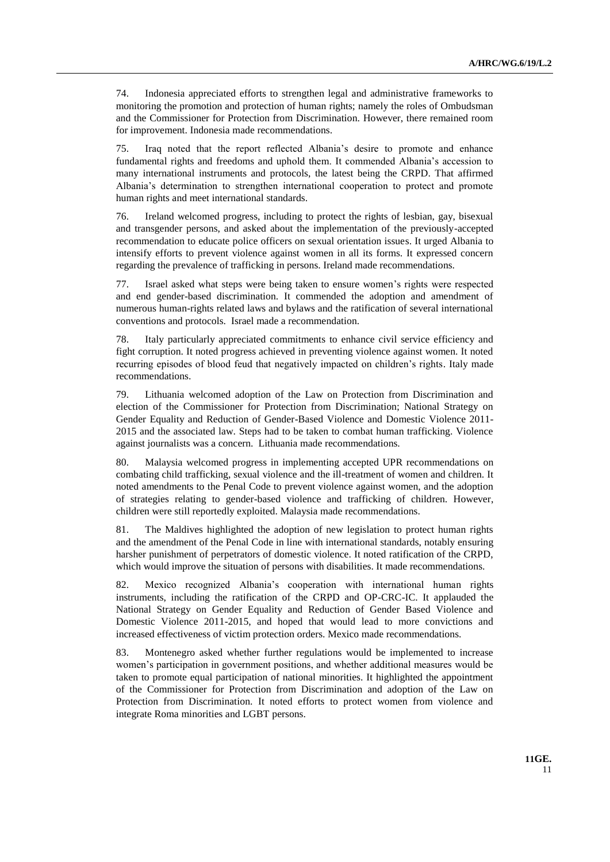74. Indonesia appreciated efforts to strengthen legal and administrative frameworks to monitoring the promotion and protection of human rights; namely the roles of Ombudsman and the Commissioner for Protection from Discrimination. However, there remained room for improvement. Indonesia made recommendations.

75. Iraq noted that the report reflected Albania's desire to promote and enhance fundamental rights and freedoms and uphold them. It commended Albania's accession to many international instruments and protocols, the latest being the CRPD. That affirmed Albania's determination to strengthen international cooperation to protect and promote human rights and meet international standards.

76. Ireland welcomed progress, including to protect the rights of lesbian, gay, bisexual and transgender persons, and asked about the implementation of the previously-accepted recommendation to educate police officers on sexual orientation issues. It urged Albania to intensify efforts to prevent violence against women in all its forms. It expressed concern regarding the prevalence of trafficking in persons. Ireland made recommendations.

77. Israel asked what steps were being taken to ensure women's rights were respected and end gender-based discrimination. It commended the adoption and amendment of numerous human-rights related laws and bylaws and the ratification of several international conventions and protocols. Israel made a recommendation.

78. Italy particularly appreciated commitments to enhance civil service efficiency and fight corruption. It noted progress achieved in preventing violence against women. It noted recurring episodes of blood feud that negatively impacted on children's rights. Italy made recommendations.

79. Lithuania welcomed adoption of the Law on Protection from Discrimination and election of the Commissioner for Protection from Discrimination; National Strategy on Gender Equality and Reduction of Gender-Based Violence and Domestic Violence 2011- 2015 and the associated law. Steps had to be taken to combat human trafficking. Violence against journalists was a concern. Lithuania made recommendations.

80. Malaysia welcomed progress in implementing accepted UPR recommendations on combating child trafficking, sexual violence and the ill-treatment of women and children. It noted amendments to the Penal Code to prevent violence against women, and the adoption of strategies relating to gender-based violence and trafficking of children. However, children were still reportedly exploited. Malaysia made recommendations.

81. The Maldives highlighted the adoption of new legislation to protect human rights and the amendment of the Penal Code in line with international standards, notably ensuring harsher punishment of perpetrators of domestic violence. It noted ratification of the CRPD, which would improve the situation of persons with disabilities. It made recommendations.

82. Mexico recognized Albania's cooperation with international human rights instruments, including the ratification of the CRPD and OP-CRC-IC. It applauded the National Strategy on Gender Equality and Reduction of Gender Based Violence and Domestic Violence 2011-2015, and hoped that would lead to more convictions and increased effectiveness of victim protection orders. Mexico made recommendations.

83. Montenegro asked whether further regulations would be implemented to increase women's participation in government positions, and whether additional measures would be taken to promote equal participation of national minorities. It highlighted the appointment of the Commissioner for Protection from Discrimination and adoption of the Law on Protection from Discrimination. It noted efforts to protect women from violence and integrate Roma minorities and LGBT persons.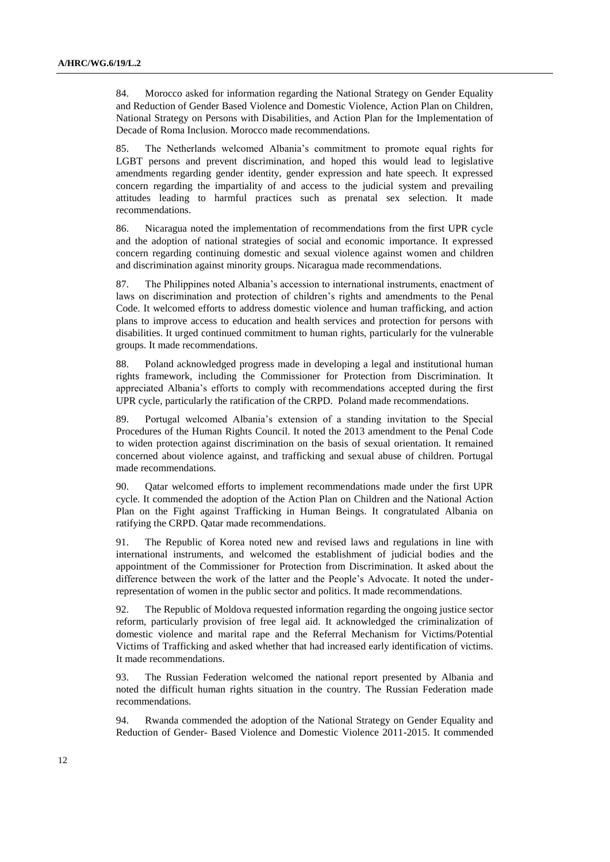84. Morocco asked for information regarding the National Strategy on Gender Equality and Reduction of Gender Based Violence and Domestic Violence, Action Plan on Children, National Strategy on Persons with Disabilities, and Action Plan for the Implementation of Decade of Roma Inclusion. Morocco made recommendations.

85. The Netherlands welcomed Albania's commitment to promote equal rights for LGBT persons and prevent discrimination, and hoped this would lead to legislative amendments regarding gender identity, gender expression and hate speech. It expressed concern regarding the impartiality of and access to the judicial system and prevailing attitudes leading to harmful practices such as prenatal sex selection. It made recommendations.

86. Nicaragua noted the implementation of recommendations from the first UPR cycle and the adoption of national strategies of social and economic importance. It expressed concern regarding continuing domestic and sexual violence against women and children and discrimination against minority groups. Nicaragua made recommendations.

87. The Philippines noted Albania's accession to international instruments, enactment of laws on discrimination and protection of children's rights and amendments to the Penal Code. It welcomed efforts to address domestic violence and human trafficking, and action plans to improve access to education and health services and protection for persons with disabilities. It urged continued commitment to human rights, particularly for the vulnerable groups. It made recommendations.

88. Poland acknowledged progress made in developing a legal and institutional human rights framework, including the Commissioner for Protection from Discrimination. It appreciated Albania's efforts to comply with recommendations accepted during the first UPR cycle, particularly the ratification of the CRPD. Poland made recommendations.

89. Portugal welcomed Albania's extension of a standing invitation to the Special Procedures of the Human Rights Council. It noted the 2013 amendment to the Penal Code to widen protection against discrimination on the basis of sexual orientation. It remained concerned about violence against, and trafficking and sexual abuse of children. Portugal made recommendations.

90. Qatar welcomed efforts to implement recommendations made under the first UPR cycle. It commended the adoption of the Action Plan on Children and the National Action Plan on the Fight against Trafficking in Human Beings. It congratulated Albania on ratifying the CRPD. Qatar made recommendations.

91. The Republic of Korea noted new and revised laws and regulations in line with international instruments, and welcomed the establishment of judicial bodies and the appointment of the Commissioner for Protection from Discrimination. It asked about the difference between the work of the latter and the People's Advocate. It noted the underrepresentation of women in the public sector and politics. It made recommendations.

92. The Republic of Moldova requested information regarding the ongoing justice sector reform, particularly provision of free legal aid. It acknowledged the criminalization of domestic violence and marital rape and the Referral Mechanism for Victims/Potential Victims of Trafficking and asked whether that had increased early identification of victims. It made recommendations.

93. The Russian Federation welcomed the national report presented by Albania and noted the difficult human rights situation in the country. The Russian Federation made recommendations.

94. Rwanda commended the adoption of the National Strategy on Gender Equality and Reduction of Gender- Based Violence and Domestic Violence 2011-2015. It commended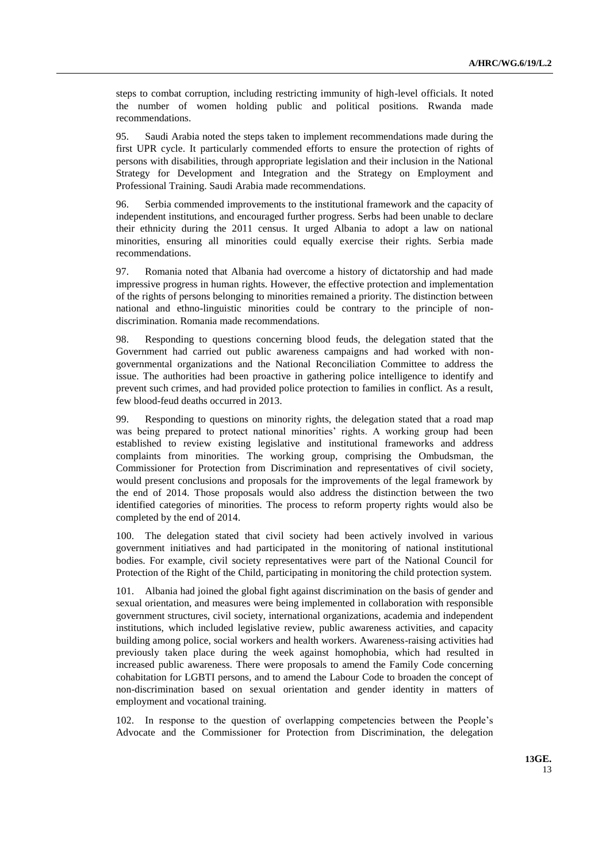steps to combat corruption, including restricting immunity of high-level officials. It noted the number of women holding public and political positions. Rwanda made recommendations.

95. Saudi Arabia noted the steps taken to implement recommendations made during the first UPR cycle. It particularly commended efforts to ensure the protection of rights of persons with disabilities, through appropriate legislation and their inclusion in the National Strategy for Development and Integration and the Strategy on Employment and Professional Training. Saudi Arabia made recommendations.

96. Serbia commended improvements to the institutional framework and the capacity of independent institutions, and encouraged further progress. Serbs had been unable to declare their ethnicity during the 2011 census. It urged Albania to adopt a law on national minorities, ensuring all minorities could equally exercise their rights. Serbia made recommendations.

97. Romania noted that Albania had overcome a history of dictatorship and had made impressive progress in human rights. However, the effective protection and implementation of the rights of persons belonging to minorities remained a priority. The distinction between national and ethno-linguistic minorities could be contrary to the principle of nondiscrimination. Romania made recommendations.

98. Responding to questions concerning blood feuds, the delegation stated that the Government had carried out public awareness campaigns and had worked with nongovernmental organizations and the National Reconciliation Committee to address the issue. The authorities had been proactive in gathering police intelligence to identify and prevent such crimes, and had provided police protection to families in conflict. As a result, few blood-feud deaths occurred in 2013.

99. Responding to questions on minority rights, the delegation stated that a road map was being prepared to protect national minorities' rights. A working group had been established to review existing legislative and institutional frameworks and address complaints from minorities. The working group, comprising the Ombudsman, the Commissioner for Protection from Discrimination and representatives of civil society, would present conclusions and proposals for the improvements of the legal framework by the end of 2014. Those proposals would also address the distinction between the two identified categories of minorities. The process to reform property rights would also be completed by the end of 2014.

100. The delegation stated that civil society had been actively involved in various government initiatives and had participated in the monitoring of national institutional bodies. For example, civil society representatives were part of the National Council for Protection of the Right of the Child, participating in monitoring the child protection system.

101. Albania had joined the global fight against discrimination on the basis of gender and sexual orientation, and measures were being implemented in collaboration with responsible government structures, civil society, international organizations, academia and independent institutions, which included legislative review, public awareness activities, and capacity building among police, social workers and health workers. Awareness-raising activities had previously taken place during the week against homophobia, which had resulted in increased public awareness. There were proposals to amend the Family Code concerning cohabitation for LGBTI persons, and to amend the Labour Code to broaden the concept of non-discrimination based on sexual orientation and gender identity in matters of employment and vocational training.

102. In response to the question of overlapping competencies between the People's Advocate and the Commissioner for Protection from Discrimination, the delegation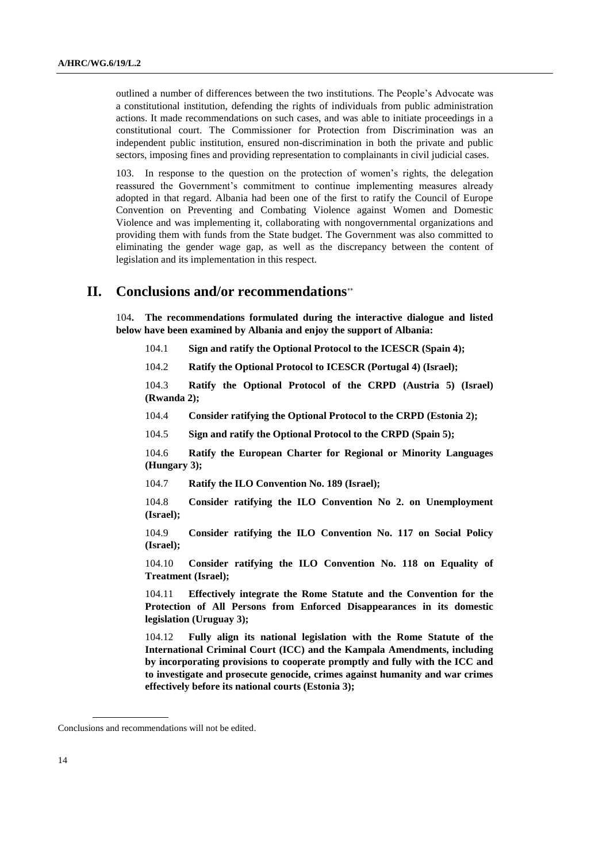outlined a number of differences between the two institutions. The People's Advocate was a constitutional institution, defending the rights of individuals from public administration actions. It made recommendations on such cases, and was able to initiate proceedings in a constitutional court. The Commissioner for Protection from Discrimination was an independent public institution, ensured non-discrimination in both the private and public sectors, imposing fines and providing representation to complainants in civil judicial cases.

103. In response to the question on the protection of women's rights, the delegation reassured the Government's commitment to continue implementing measures already adopted in that regard. Albania had been one of the first to ratify the Council of Europe Convention on Preventing and Combating Violence against Women and Domestic Violence and was implementing it, collaborating with nongovernmental organizations and providing them with funds from the State budget. The Government was also committed to eliminating the gender wage gap, as well as the discrepancy between the content of legislation and its implementation in this respect.

## **II. Conclusions and/or recommendations**

104**. The recommendations formulated during the interactive dialogue and listed below have been examined by Albania and enjoy the support of Albania:**

104.1 **Sign and ratify the Optional Protocol to the ICESCR (Spain 4);**

104.2 **Ratify the Optional Protocol to ICESCR (Portugal 4) (Israel);**

104.3 **Ratify the Optional Protocol of the CRPD (Austria 5) (Israel) (Rwanda 2);**

104.4 **Consider ratifying the Optional Protocol to the CRPD (Estonia 2);**

104.5 **Sign and ratify the Optional Protocol to the CRPD (Spain 5);**

104.6 **Ratify the European Charter for Regional or Minority Languages (Hungary 3);**

104.7 **Ratify the ILO Convention No. 189 (Israel);**

104.8 **Consider ratifying the ILO Convention No 2. on Unemployment (Israel);**

104.9 **Consider ratifying the ILO Convention No. 117 on Social Policy (Israel);**

104.10 **Consider ratifying the ILO Convention No. 118 on Equality of Treatment (Israel);**

104.11 **Effectively integrate the Rome Statute and the Convention for the Protection of All Persons from Enforced Disappearances in its domestic legislation (Uruguay 3);**

104.12 **Fully align its national legislation with the Rome Statute of the International Criminal Court (ICC) and the Kampala Amendments, including by incorporating provisions to cooperate promptly and fully with the ICC and to investigate and prosecute genocide, crimes against humanity and war crimes effectively before its national courts (Estonia 3);**

Conclusions and recommendations will not be edited.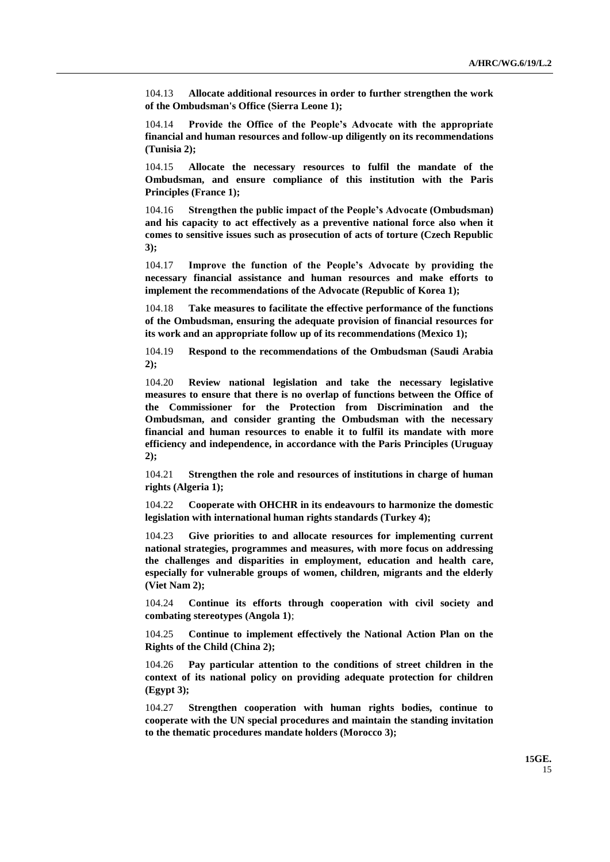104.13 **Allocate additional resources in order to further strengthen the work of the Ombudsman's Office (Sierra Leone 1);**

104.14 **Provide the Office of the People's Advocate with the appropriate financial and human resources and follow-up diligently on its recommendations (Tunisia 2);**

104.15 **Allocate the necessary resources to fulfil the mandate of the Ombudsman, and ensure compliance of this institution with the Paris Principles (France 1);**

104.16 **Strengthen the public impact of the People's Advocate (Ombudsman) and his capacity to act effectively as a preventive national force also when it comes to sensitive issues such as prosecution of acts of torture (Czech Republic 3);**

104.17 **Improve the function of the People's Advocate by providing the necessary financial assistance and human resources and make efforts to implement the recommendations of the Advocate (Republic of Korea 1);**

104.18 **Take measures to facilitate the effective performance of the functions of the Ombudsman, ensuring the adequate provision of financial resources for its work and an appropriate follow up of its recommendations (Mexico 1);**

104.19 **Respond to the recommendations of the Ombudsman (Saudi Arabia 2);**

104.20 **Review national legislation and take the necessary legislative measures to ensure that there is no overlap of functions between the Office of the Commissioner for the Protection from Discrimination and the Ombudsman, and consider granting the Ombudsman with the necessary financial and human resources to enable it to fulfil its mandate with more efficiency and independence, in accordance with the Paris Principles (Uruguay 2);** 

104.21 **Strengthen the role and resources of institutions in charge of human rights (Algeria 1);**

104.22 **Cooperate with OHCHR in its endeavours to harmonize the domestic legislation with international human rights standards (Turkey 4);**

104.23 **Give priorities to and allocate resources for implementing current national strategies, programmes and measures, with more focus on addressing the challenges and disparities in employment, education and health care, especially for vulnerable groups of women, children, migrants and the elderly (Viet Nam 2);**

104.24 **Continue its efforts through cooperation with civil society and combating stereotypes (Angola 1)**;

104.25 **Continue to implement effectively the National Action Plan on the Rights of the Child (China 2);**

104.26 **Pay particular attention to the conditions of street children in the context of its national policy on providing adequate protection for children (Egypt 3);**

104.27 **Strengthen cooperation with human rights bodies, continue to cooperate with the UN special procedures and maintain the standing invitation to the thematic procedures mandate holders (Morocco 3);**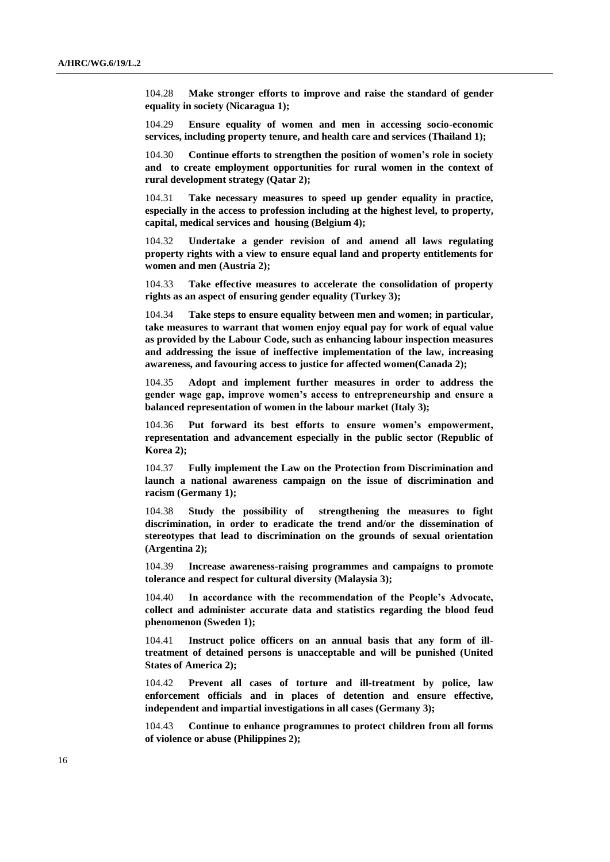104.28 **Make stronger efforts to improve and raise the standard of gender equality in society (Nicaragua 1);**

104.29 **Ensure equality of women and men in accessing socio-economic services, including property tenure, and health care and services (Thailand 1);**

104.30 **Continue efforts to strengthen the position of women's role in society and to create employment opportunities for rural women in the context of rural development strategy (Qatar 2);**

104.31 **Take necessary measures to speed up gender equality in practice, especially in the access to profession including at the highest level, to property, capital, medical services and housing (Belgium 4);**

104.32 **Undertake a gender revision of and amend all laws regulating property rights with a view to ensure equal land and property entitlements for women and men (Austria 2);**

104.33 **Take effective measures to accelerate the consolidation of property rights as an aspect of ensuring gender equality (Turkey 3);**

104.34 **Take steps to ensure equality between men and women; in particular, take measures to warrant that women enjoy equal pay for work of equal value as provided by the Labour Code, such as enhancing labour inspection measures and addressing the issue of ineffective implementation of the law, increasing awareness, and favouring access to justice for affected women(Canada 2);**

104.35 **Adopt and implement further measures in order to address the gender wage gap, improve women's access to entrepreneurship and ensure a balanced representation of women in the labour market (Italy 3);**

104.36 **Put forward its best efforts to ensure women's empowerment, representation and advancement especially in the public sector (Republic of Korea 2);**

104.37 **Fully implement the Law on the Protection from Discrimination and launch a national awareness campaign on the issue of discrimination and racism (Germany 1);**

104.38 **Study the possibility of strengthening the measures to fight discrimination, in order to eradicate the trend and/or the dissemination of stereotypes that lead to discrimination on the grounds of sexual orientation (Argentina 2);**

104.39 **Increase awareness-raising programmes and campaigns to promote tolerance and respect for cultural diversity (Malaysia 3);**

104.40 **In accordance with the recommendation of the People's Advocate, collect and administer accurate data and statistics regarding the blood feud phenomenon (Sweden 1);**

104.41 **Instruct police officers on an annual basis that any form of illtreatment of detained persons is unacceptable and will be punished (United States of America 2);**

104.42 **Prevent all cases of torture and ill-treatment by police, law enforcement officials and in places of detention and ensure effective, independent and impartial investigations in all cases (Germany 3);**

104.43 **Continue to enhance programmes to protect children from all forms of violence or abuse (Philippines 2);**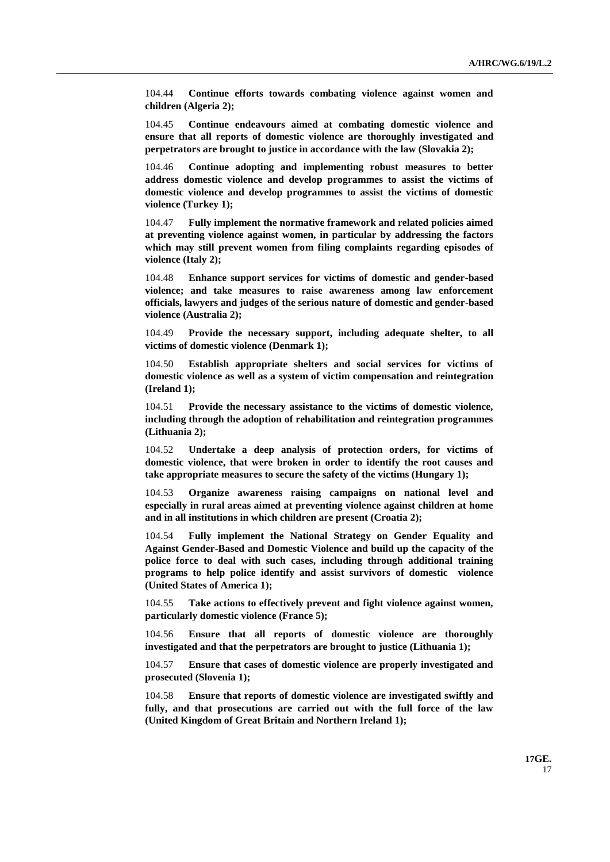104.44 **Continue efforts towards combating violence against women and children (Algeria 2);**

104.45 **Continue endeavours aimed at combating domestic violence and ensure that all reports of domestic violence are thoroughly investigated and perpetrators are brought to justice in accordance with the law (Slovakia 2);**

104.46 **Continue adopting and implementing robust measures to better address domestic violence and develop programmes to assist the victims of domestic violence and develop programmes to assist the victims of domestic violence (Turkey 1);**

104.47 **Fully implement the normative framework and related policies aimed at preventing violence against women, in particular by addressing the factors which may still prevent women from filing complaints regarding episodes of violence (Italy 2);**

104.48 **Enhance support services for victims of domestic and gender-based violence; and take measures to raise awareness among law enforcement officials, lawyers and judges of the serious nature of domestic and gender-based violence (Australia 2);**

104.49 **Provide the necessary support, including adequate shelter, to all victims of domestic violence (Denmark 1);**

104.50 **Establish appropriate shelters and social services for victims of domestic violence as well as a system of victim compensation and reintegration (Ireland 1);**

104.51 **Provide the necessary assistance to the victims of domestic violence, including through the adoption of rehabilitation and reintegration programmes (Lithuania 2);**

104.52 **Undertake a deep analysis of protection orders, for victims of domestic violence, that were broken in order to identify the root causes and take appropriate measures to secure the safety of the victims (Hungary 1);**

104.53 **Organize awareness raising campaigns on national level and especially in rural areas aimed at preventing violence against children at home and in all institutions in which children are present (Croatia 2);**

104.54 **Fully implement the National Strategy on Gender Equality and Against Gender-Based and Domestic Violence and build up the capacity of the police force to deal with such cases, including through additional training programs to help police identify and assist survivors of domestic violence (United States of America 1);**

104.55 **Take actions to effectively prevent and fight violence against women, particularly domestic violence (France 5);**

104.56 **Ensure that all reports of domestic violence are thoroughly investigated and that the perpetrators are brought to justice (Lithuania 1);**

104.57 **Ensure that cases of domestic violence are properly investigated and prosecuted (Slovenia 1);**

104.58 **Ensure that reports of domestic violence are investigated swiftly and fully, and that prosecutions are carried out with the full force of the law (United Kingdom of Great Britain and Northern Ireland 1);**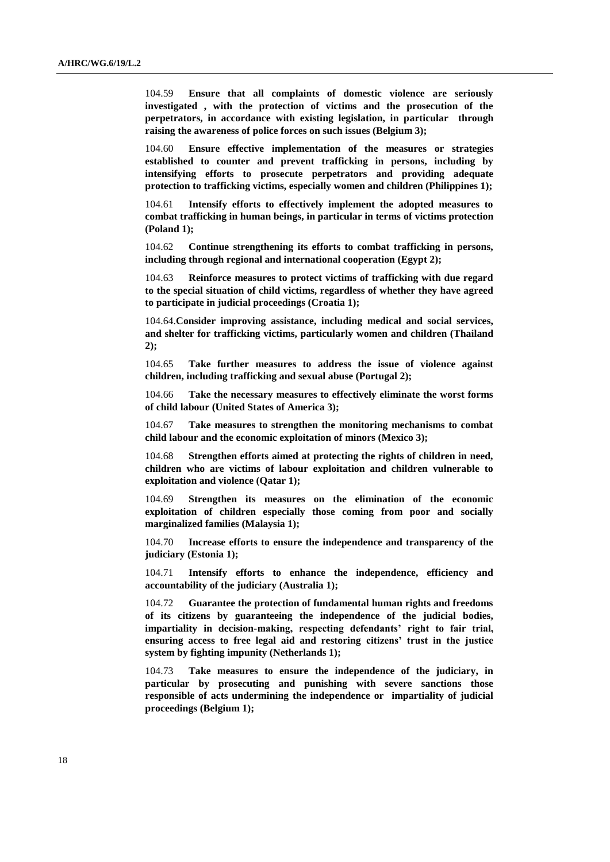104.59 **Ensure that all complaints of domestic violence are seriously investigated , with the protection of victims and the prosecution of the perpetrators, in accordance with existing legislation, in particular through raising the awareness of police forces on such issues (Belgium 3);**

104.60 **Ensure effective implementation of the measures or strategies established to counter and prevent trafficking in persons, including by intensifying efforts to prosecute perpetrators and providing adequate protection to trafficking victims, especially women and children (Philippines 1);**

104.61 **Intensify efforts to effectively implement the adopted measures to combat trafficking in human beings, in particular in terms of victims protection (Poland 1);**

104.62 **Continue strengthening its efforts to combat trafficking in persons, including through regional and international cooperation (Egypt 2);**

104.63 **Reinforce measures to protect victims of trafficking with due regard to the special situation of child victims, regardless of whether they have agreed to participate in judicial proceedings (Croatia 1);**

104.64.**Consider improving assistance, including medical and social services, and shelter for trafficking victims, particularly women and children (Thailand 2);**

104.65 **Take further measures to address the issue of violence against children, including trafficking and sexual abuse (Portugal 2);**

104.66 **Take the necessary measures to effectively eliminate the worst forms of child labour (United States of America 3);**

104.67 **Take measures to strengthen the monitoring mechanisms to combat child labour and the economic exploitation of minors (Mexico 3);**

104.68 **Strengthen efforts aimed at protecting the rights of children in need, children who are victims of labour exploitation and children vulnerable to exploitation and violence (Qatar 1);**

104.69 **Strengthen its measures on the elimination of the economic exploitation of children especially those coming from poor and socially marginalized families (Malaysia 1);**

104.70 **Increase efforts to ensure the independence and transparency of the judiciary (Estonia 1);**

104.71 **Intensify efforts to enhance the independence, efficiency and accountability of the judiciary (Australia 1);**

104.72 **Guarantee the protection of fundamental human rights and freedoms of its citizens by guaranteeing the independence of the judicial bodies, impartiality in decision-making, respecting defendants' right to fair trial, ensuring access to free legal aid and restoring citizens' trust in the justice system by fighting impunity (Netherlands 1);**

104.73 **Take measures to ensure the independence of the judiciary, in particular by prosecuting and punishing with severe sanctions those responsible of acts undermining the independence or impartiality of judicial proceedings (Belgium 1);**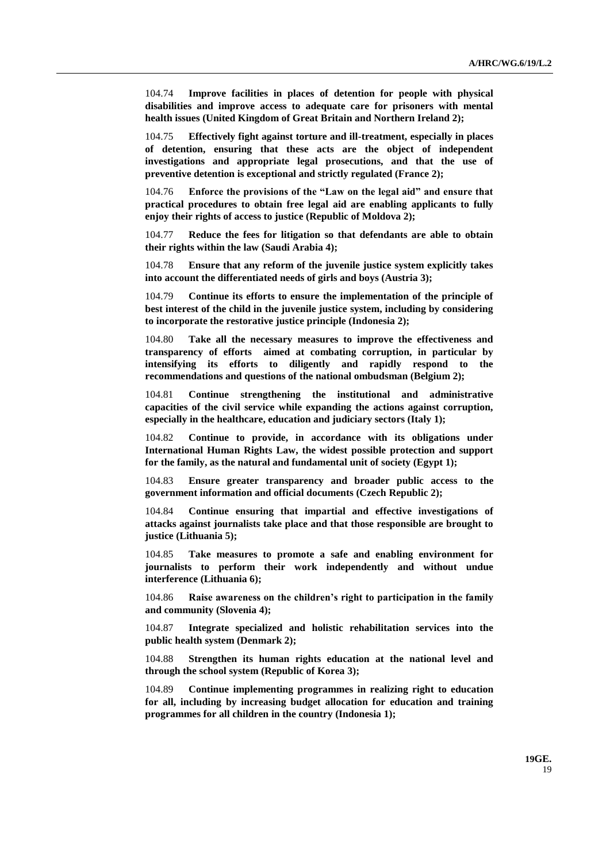104.74 **Improve facilities in places of detention for people with physical disabilities and improve access to adequate care for prisoners with mental health issues (United Kingdom of Great Britain and Northern Ireland 2);**

104.75 **Effectively fight against torture and ill-treatment, especially in places of detention, ensuring that these acts are the object of independent investigations and appropriate legal prosecutions, and that the use of preventive detention is exceptional and strictly regulated (France 2);**

104.76 **Enforce the provisions of the "Law on the legal aid" and ensure that practical procedures to obtain free legal aid are enabling applicants to fully enjoy their rights of access to justice (Republic of Moldova 2);**

104.77 **Reduce the fees for litigation so that defendants are able to obtain their rights within the law (Saudi Arabia 4);**

104.78 **Ensure that any reform of the juvenile justice system explicitly takes into account the differentiated needs of girls and boys (Austria 3);**

104.79 **Continue its efforts to ensure the implementation of the principle of best interest of the child in the juvenile justice system, including by considering to incorporate the restorative justice principle (Indonesia 2);**

104.80 **Take all the necessary measures to improve the effectiveness and transparency of efforts aimed at combating corruption, in particular by intensifying its efforts to diligently and rapidly respond to the recommendations and questions of the national ombudsman (Belgium 2);**

104.81 **Continue strengthening the institutional and administrative capacities of the civil service while expanding the actions against corruption, especially in the healthcare, education and judiciary sectors (Italy 1);**

104.82 **Continue to provide, in accordance with its obligations under International Human Rights Law, the widest possible protection and support for the family, as the natural and fundamental unit of society (Egypt 1);**

104.83 **Ensure greater transparency and broader public access to the government information and official documents (Czech Republic 2);**

104.84 **Continue ensuring that impartial and effective investigations of attacks against journalists take place and that those responsible are brought to justice (Lithuania 5);**

104.85 **Take measures to promote a safe and enabling environment for journalists to perform their work independently and without undue interference (Lithuania 6);**

104.86 **Raise awareness on the children's right to participation in the family and community (Slovenia 4);**

104.87 **Integrate specialized and holistic rehabilitation services into the public health system (Denmark 2);**

104.88 **Strengthen its human rights education at the national level and through the school system (Republic of Korea 3);**

104.89 **Continue implementing programmes in realizing right to education for all, including by increasing budget allocation for education and training programmes for all children in the country (Indonesia 1);**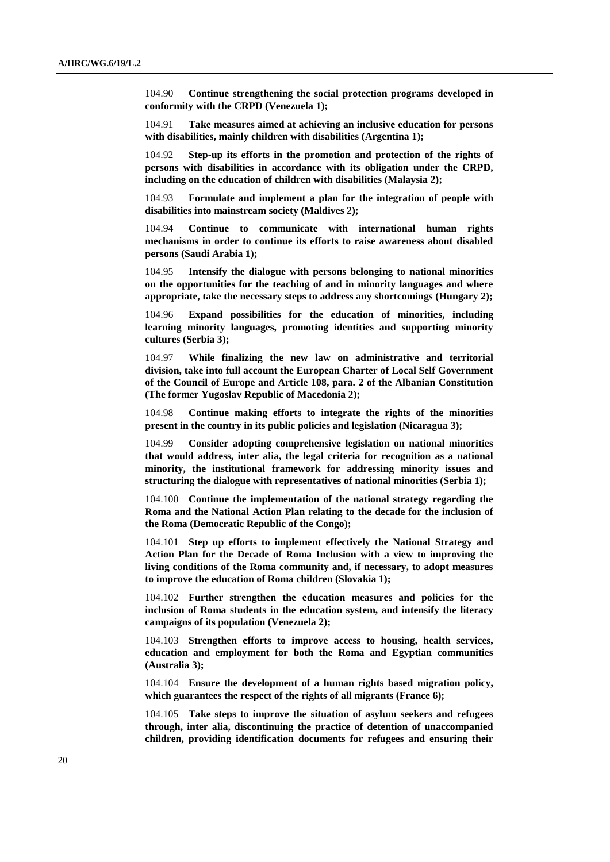104.90 **Continue strengthening the social protection programs developed in conformity with the CRPD (Venezuela 1);**

104.91 **Take measures aimed at achieving an inclusive education for persons with disabilities, mainly children with disabilities (Argentina 1);**

104.92 **Step-up its efforts in the promotion and protection of the rights of persons with disabilities in accordance with its obligation under the CRPD, including on the education of children with disabilities (Malaysia 2);**

104.93 **Formulate and implement a plan for the integration of people with disabilities into mainstream society (Maldives 2);**

104.94 **Continue to communicate with international human rights mechanisms in order to continue its efforts to raise awareness about disabled persons (Saudi Arabia 1);**

104.95 **Intensify the dialogue with persons belonging to national minorities on the opportunities for the teaching of and in minority languages and where appropriate, take the necessary steps to address any shortcomings (Hungary 2);**

104.96 **Expand possibilities for the education of minorities, including learning minority languages, promoting identities and supporting minority cultures (Serbia 3);**

104.97 **While finalizing the new law on administrative and territorial division, take into full account the European Charter of Local Self Government of the Council of Europe and Article 108, para. 2 of the Albanian Constitution (The former Yugoslav Republic of Macedonia 2);**

104.98 **Continue making efforts to integrate the rights of the minorities present in the country in its public policies and legislation (Nicaragua 3);**

104.99 **Consider adopting comprehensive legislation on national minorities that would address, inter alia, the legal criteria for recognition as a national minority, the institutional framework for addressing minority issues and structuring the dialogue with representatives of national minorities (Serbia 1);**

104.100 **Continue the implementation of the national strategy regarding the Roma and the National Action Plan relating to the decade for the inclusion of the Roma (Democratic Republic of the Congo);**

104.101 **Step up efforts to implement effectively the National Strategy and Action Plan for the Decade of Roma Inclusion with a view to improving the living conditions of the Roma community and, if necessary, to adopt measures to improve the education of Roma children (Slovakia 1);**

104.102 **Further strengthen the education measures and policies for the inclusion of Roma students in the education system, and intensify the literacy campaigns of its population (Venezuela 2);**

104.103 **Strengthen efforts to improve access to housing, health services, education and employment for both the Roma and Egyptian communities (Australia 3);**

104.104 **Ensure the development of a human rights based migration policy, which guarantees the respect of the rights of all migrants (France 6);**

104.105 **Take steps to improve the situation of asylum seekers and refugees through, inter alia, discontinuing the practice of detention of unaccompanied children, providing identification documents for refugees and ensuring their**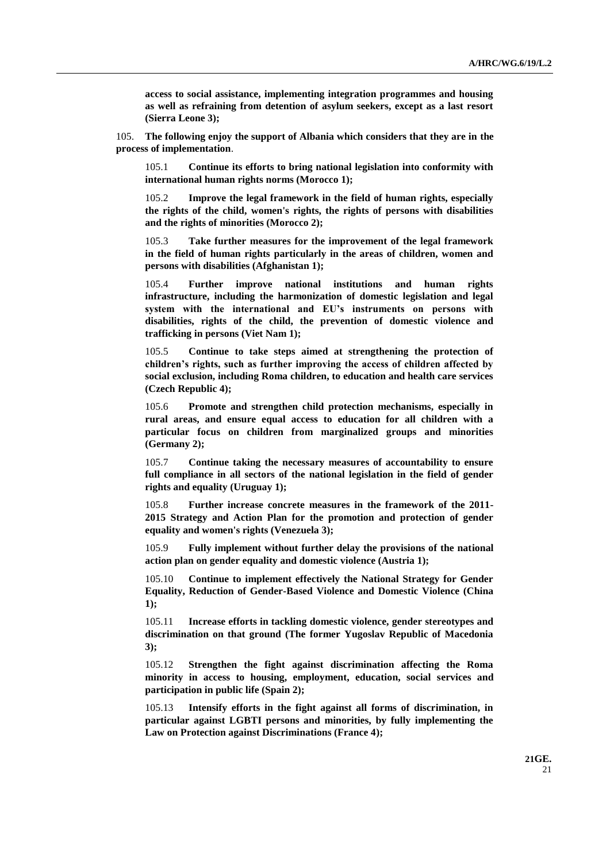**access to social assistance, implementing integration programmes and housing as well as refraining from detention of asylum seekers, except as a last resort (Sierra Leone 3);**

105. **The following enjoy the support of Albania which considers that they are in the process of implementation**.

105.1 **Continue its efforts to bring national legislation into conformity with international human rights norms (Morocco 1);**

105.2 **Improve the legal framework in the field of human rights, especially the rights of the child, women's rights, the rights of persons with disabilities and the rights of minorities (Morocco 2);**

105.3 **Take further measures for the improvement of the legal framework in the field of human rights particularly in the areas of children, women and persons with disabilities (Afghanistan 1);**

105.4 **Further improve national institutions and human rights infrastructure, including the harmonization of domestic legislation and legal system with the international and EU's instruments on persons with disabilities, rights of the child, the prevention of domestic violence and trafficking in persons (Viet Nam 1);**

105.5 **Continue to take steps aimed at strengthening the protection of children's rights, such as further improving the access of children affected by social exclusion, including Roma children, to education and health care services (Czech Republic 4);**

105.6 **Promote and strengthen child protection mechanisms, especially in rural areas, and ensure equal access to education for all children with a particular focus on children from marginalized groups and minorities (Germany 2);**

105.7 **Continue taking the necessary measures of accountability to ensure full compliance in all sectors of the national legislation in the field of gender rights and equality (Uruguay 1);**

105.8 **Further increase concrete measures in the framework of the 2011- 2015 Strategy and Action Plan for the promotion and protection of gender equality and women's rights (Venezuela 3);**

105.9 **Fully implement without further delay the provisions of the national action plan on gender equality and domestic violence (Austria 1);**

105.10 **Continue to implement effectively the National Strategy for Gender Equality, Reduction of Gender-Based Violence and Domestic Violence (China 1);**

105.11 **Increase efforts in tackling domestic violence, gender stereotypes and discrimination on that ground (The former Yugoslav Republic of Macedonia 3);**

105.12 **Strengthen the fight against discrimination affecting the Roma minority in access to housing, employment, education, social services and participation in public life (Spain 2);**

105.13 **Intensify efforts in the fight against all forms of discrimination, in particular against LGBTI persons and minorities, by fully implementing the Law on Protection against Discriminations (France 4);**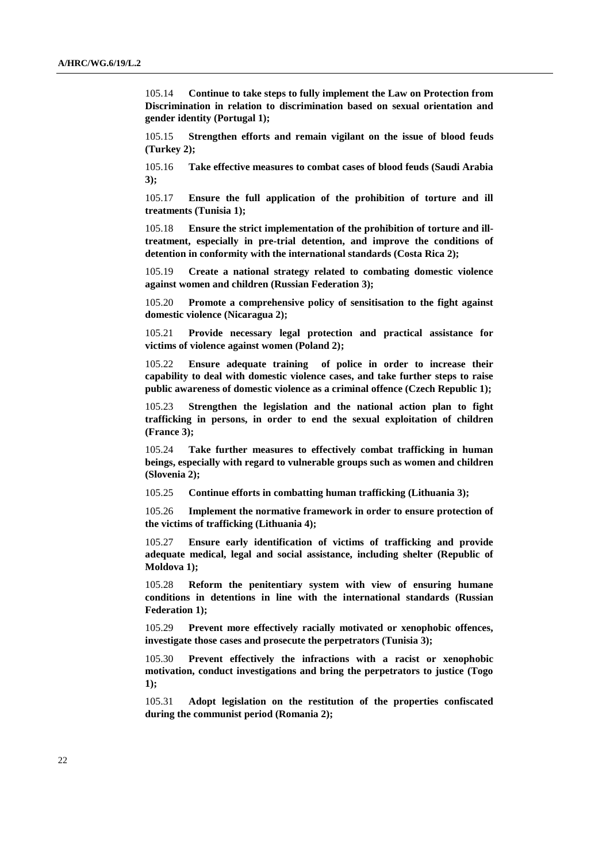105.14 **Continue to take steps to fully implement the Law on Protection from Discrimination in relation to discrimination based on sexual orientation and gender identity (Portugal 1);**

105.15 **Strengthen efforts and remain vigilant on the issue of blood feuds (Turkey 2);**

105.16 **Take effective measures to combat cases of blood feuds (Saudi Arabia 3);**

105.17 **Ensure the full application of the prohibition of torture and ill treatments (Tunisia 1);**

105.18 **Ensure the strict implementation of the prohibition of torture and illtreatment, especially in pre-trial detention, and improve the conditions of detention in conformity with the international standards (Costa Rica 2);**

105.19 **Create a national strategy related to combating domestic violence against women and children (Russian Federation 3);**

105.20 **Promote a comprehensive policy of sensitisation to the fight against domestic violence (Nicaragua 2);**

105.21 **Provide necessary legal protection and practical assistance for victims of violence against women (Poland 2);**

105.22 **Ensure adequate training of police in order to increase their capability to deal with domestic violence cases, and take further steps to raise public awareness of domestic violence as a criminal offence (Czech Republic 1);**

105.23 **Strengthen the legislation and the national action plan to fight trafficking in persons, in order to end the sexual exploitation of children (France 3);**

105.24 **Take further measures to effectively combat trafficking in human beings, especially with regard to vulnerable groups such as women and children (Slovenia 2);**

105.25 **Continue efforts in combatting human trafficking (Lithuania 3);**

105.26 **Implement the normative framework in order to ensure protection of the victims of trafficking (Lithuania 4);**

105.27 **Ensure early identification of victims of trafficking and provide adequate medical, legal and social assistance, including shelter (Republic of Moldova 1);**

105.28 **Reform the penitentiary system with view of ensuring humane conditions in detentions in line with the international standards (Russian Federation 1);**

105.29 **Prevent more effectively racially motivated or xenophobic offences, investigate those cases and prosecute the perpetrators (Tunisia 3);**

105.30 **Prevent effectively the infractions with a racist or xenophobic motivation, conduct investigations and bring the perpetrators to justice (Togo 1);**

105.31 **Adopt legislation on the restitution of the properties confiscated during the communist period (Romania 2);**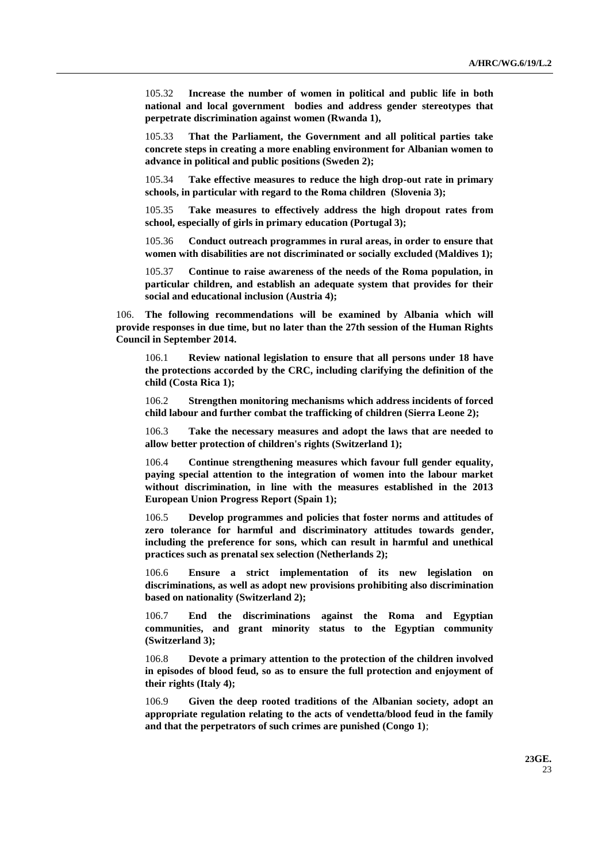105.32 **Increase the number of women in political and public life in both national and local government bodies and address gender stereotypes that perpetrate discrimination against women (Rwanda 1),**

105.33 **That the Parliament, the Government and all political parties take concrete steps in creating a more enabling environment for Albanian women to advance in political and public positions (Sweden 2);**

105.34 **Take effective measures to reduce the high drop-out rate in primary schools, in particular with regard to the Roma children (Slovenia 3);**

105.35 **Take measures to effectively address the high dropout rates from school, especially of girls in primary education (Portugal 3);**

105.36 **Conduct outreach programmes in rural areas, in order to ensure that women with disabilities are not discriminated or socially excluded (Maldives 1);**

105.37 **Continue to raise awareness of the needs of the Roma population, in particular children, and establish an adequate system that provides for their social and educational inclusion (Austria 4);**

106. **The following recommendations will be examined by Albania which will provide responses in due time, but no later than the 27th session of the Human Rights Council in September 2014.**

106.1 **Review national legislation to ensure that all persons under 18 have the protections accorded by the CRC, including clarifying the definition of the child (Costa Rica 1);**

106.2 **Strengthen monitoring mechanisms which address incidents of forced child labour and further combat the trafficking of children (Sierra Leone 2);**

106.3 **Take the necessary measures and adopt the laws that are needed to allow better protection of children's rights (Switzerland 1);**

106.4 **Continue strengthening measures which favour full gender equality, paying special attention to the integration of women into the labour market without discrimination, in line with the measures established in the 2013 European Union Progress Report (Spain 1);**

106.5 **Develop programmes and policies that foster norms and attitudes of zero tolerance for harmful and discriminatory attitudes towards gender, including the preference for sons, which can result in harmful and unethical practices such as prenatal sex selection (Netherlands 2);**

106.6 **Ensure a strict implementation of its new legislation on discriminations, as well as adopt new provisions prohibiting also discrimination based on nationality (Switzerland 2);**

106.7 **End the discriminations against the Roma and Egyptian communities, and grant minority status to the Egyptian community (Switzerland 3);**

106.8 **Devote a primary attention to the protection of the children involved in episodes of blood feud, so as to ensure the full protection and enjoyment of their rights (Italy 4);**

106.9 **Given the deep rooted traditions of the Albanian society, adopt an appropriate regulation relating to the acts of vendetta/blood feud in the family and that the perpetrators of such crimes are punished (Congo 1)**;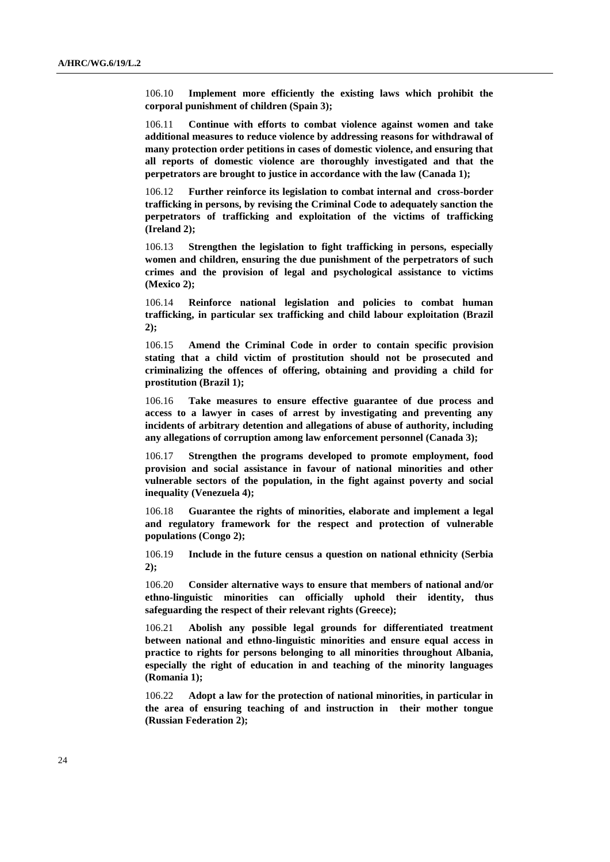106.10 **Implement more efficiently the existing laws which prohibit the corporal punishment of children (Spain 3);**

106.11 **Continue with efforts to combat violence against women and take additional measures to reduce violence by addressing reasons for withdrawal of many protection order petitions in cases of domestic violence, and ensuring that all reports of domestic violence are thoroughly investigated and that the perpetrators are brought to justice in accordance with the law (Canada 1);**

106.12 **Further reinforce its legislation to combat internal and cross-border trafficking in persons, by revising the Criminal Code to adequately sanction the perpetrators of trafficking and exploitation of the victims of trafficking (Ireland 2);**

106.13 **Strengthen the legislation to fight trafficking in persons, especially women and children, ensuring the due punishment of the perpetrators of such crimes and the provision of legal and psychological assistance to victims (Mexico 2);**

106.14 **Reinforce national legislation and policies to combat human trafficking, in particular sex trafficking and child labour exploitation (Brazil 2);**

106.15 **Amend the Criminal Code in order to contain specific provision stating that a child victim of prostitution should not be prosecuted and criminalizing the offences of offering, obtaining and providing a child for prostitution (Brazil 1);**

106.16 **Take measures to ensure effective guarantee of due process and access to a lawyer in cases of arrest by investigating and preventing any incidents of arbitrary detention and allegations of abuse of authority, including any allegations of corruption among law enforcement personnel (Canada 3);**

106.17 **Strengthen the programs developed to promote employment, food provision and social assistance in favour of national minorities and other vulnerable sectors of the population, in the fight against poverty and social inequality (Venezuela 4);**

106.18 **Guarantee the rights of minorities, elaborate and implement a legal and regulatory framework for the respect and protection of vulnerable populations (Congo 2);**

106.19 **Include in the future census a question on national ethnicity (Serbia 2);**

106.20 **Consider alternative ways to ensure that members of national and/or ethno-linguistic minorities can officially uphold their identity, thus safeguarding the respect of their relevant rights (Greece);**

106.21 **Abolish any possible legal grounds for differentiated treatment between national and ethno-linguistic minorities and ensure equal access in practice to rights for persons belonging to all minorities throughout Albania, especially the right of education in and teaching of the minority languages (Romania 1);**

106.22 **Adopt a law for the protection of national minorities, in particular in the area of ensuring teaching of and instruction in their mother tongue (Russian Federation 2);**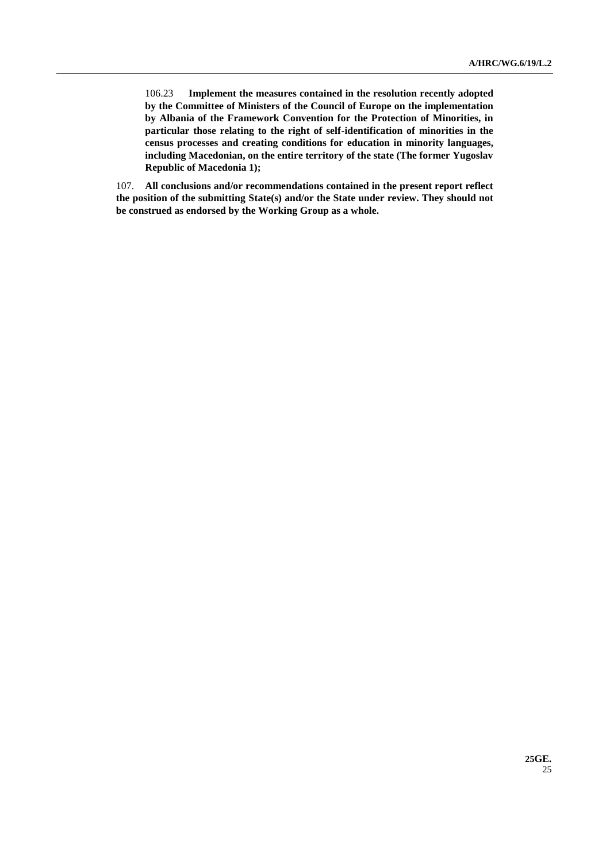106.23 **Implement the measures contained in the resolution recently adopted by the Committee of Ministers of the Council of Europe on the implementation by Albania of the Framework Convention for the Protection of Minorities, in particular those relating to the right of self-identification of minorities in the census processes and creating conditions for education in minority languages, including Macedonian, on the entire territory of the state (The former Yugoslav Republic of Macedonia 1);**

107. **All conclusions and/or recommendations contained in the present report reflect the position of the submitting State(s) and/or the State under review. They should not be construed as endorsed by the Working Group as a whole.**